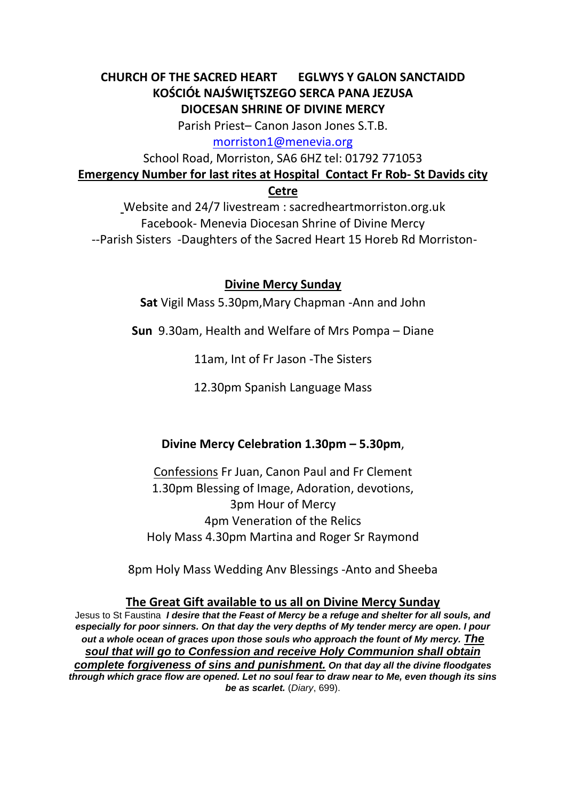## **CHURCH OF THE SACRED HEART EGLWYS Y GALON SANCTAIDD KOŚCIÓŁ NAJŚWIĘTSZEGO SERCA PANA JEZUSA DIOCESAN SHRINE OF DIVINE MERCY**

Parish Priest– Canon Jason Jones S.T.B.

#### [morriston1@menevia.org](mailto:morriston1@menevia.org)

School Road, Morriston, SA6 6HZ tel: 01792 771053

**Emergency Number for last rites at Hospital Contact Fr Rob- St Davids city** 

**Cetre**

Website and 24/7 livestream : sacredheartmorriston.org.uk Facebook- Menevia Diocesan Shrine of Divine Mercy --Parish Sisters -Daughters of the Sacred Heart 15 Horeb Rd Morriston-

# **Divine Mercy Sunday**

**Sat** Vigil Mass 5.30pm,Mary Chapman -Ann and John

**Sun** 9.30am, Health and Welfare of Mrs Pompa – Diane

11am, Int of Fr Jason -The Sisters

12.30pm Spanish Language Mass

## **Divine Mercy Celebration 1.30pm – 5.30pm**,

Confessions Fr Juan, Canon Paul and Fr Clement 1.30pm Blessing of Image, Adoration, devotions, 3pm Hour of Mercy 4pm Veneration of the Relics Holy Mass 4.30pm Martina and Roger Sr Raymond

8pm Holy Mass Wedding Anv Blessings -Anto and Sheeba

## **The Great Gift available to us all on Divine Mercy Sunday**

Jesus to St Faustina *I desire that the Feast of Mercy be a refuge and shelter for all souls, and especially for poor sinners. On that day the very depths of My tender mercy are open. I pour out a whole ocean of graces upon those souls who approach the fount of My mercy. The soul that will go to Confession and receive Holy Communion shall obtain complete forgiveness of sins and punishment. On that day all the divine floodgates through which grace flow are opened. Let no soul fear to draw near to Me, even though its sins be as scarlet.* (*Diary*, 699).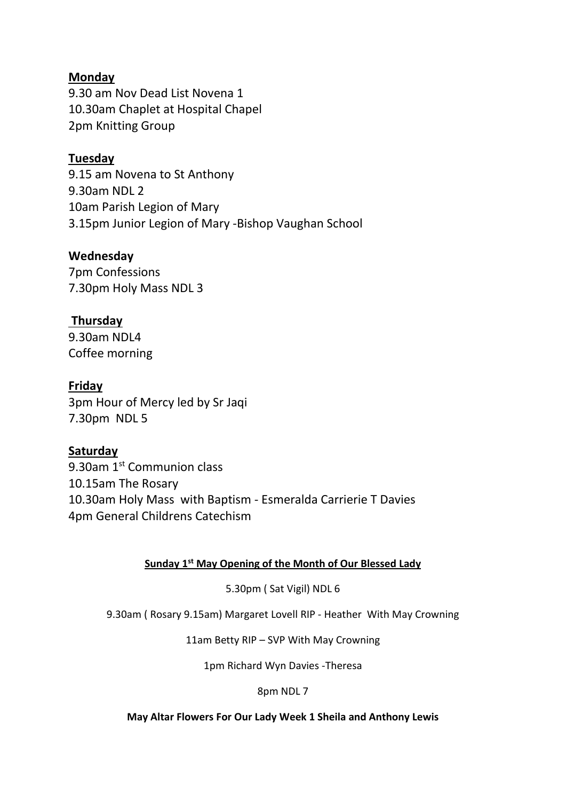#### **Monday**

9.30 am Nov Dead List Novena 1 10.30am Chaplet at Hospital Chapel 2pm Knitting Group

## **Tuesday**

9.15 am Novena to St Anthony 9.30am NDL 2 10am Parish Legion of Mary 3.15pm Junior Legion of Mary -Bishop Vaughan School

#### **Wednesday**

7pm Confessions 7.30pm Holy Mass NDL 3

## **Thursday**

9.30am NDL4 Coffee morning

## **Friday**

3pm Hour of Mercy led by Sr Jaqi 7.30pm NDL 5

## **Saturday**

9.30am 1<sup>st</sup> Communion class 10.15am The Rosary 10.30am Holy Mass with Baptism - Esmeralda Carrierie T Davies 4pm General Childrens Catechism

#### **Sunday 1st May Opening of the Month of Our Blessed Lady**

5.30pm ( Sat Vigil) NDL 6

9.30am ( Rosary 9.15am) Margaret Lovell RIP - Heather With May Crowning

11am Betty RIP – SVP With May Crowning

1pm Richard Wyn Davies -Theresa

8pm NDL 7

#### **May Altar Flowers For Our Lady Week 1 Sheila and Anthony Lewis**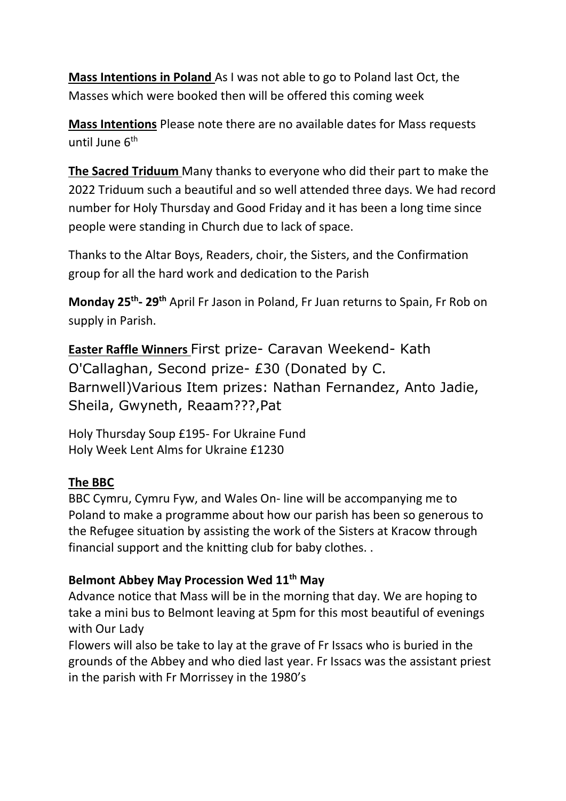**Mass Intentions in Poland** As I was not able to go to Poland last Oct, the Masses which were booked then will be offered this coming week

**Mass Intentions** Please note there are no available dates for Mass requests until June 6th

**The Sacred Triduum** Many thanks to everyone who did their part to make the 2022 Triduum such a beautiful and so well attended three days. We had record number for Holy Thursday and Good Friday and it has been a long time since people were standing in Church due to lack of space.

Thanks to the Altar Boys, Readers, choir, the Sisters, and the Confirmation group for all the hard work and dedication to the Parish

**Monday 25th - 29th** April Fr Jason in Poland, Fr Juan returns to Spain, Fr Rob on supply in Parish.

**Easter Raffle Winners** First prize- Caravan Weekend- Kath O'Callaghan, Second prize- £30 (Donated by C. Barnwell)Various Item prizes: Nathan Fernandez, Anto Jadie, Sheila, Gwyneth, Reaam???,Pat

Holy Thursday Soup £195- For Ukraine Fund Holy Week Lent Alms for Ukraine £1230

# **The BBC**

BBC Cymru, Cymru Fyw, and Wales On- line will be accompanying me to Poland to make a programme about how our parish has been so generous to the Refugee situation by assisting the work of the Sisters at Kracow through financial support and the knitting club for baby clothes. .

# **Belmont Abbey May Procession Wed 11th May**

Advance notice that Mass will be in the morning that day. We are hoping to take a mini bus to Belmont leaving at 5pm for this most beautiful of evenings with Our Lady

Flowers will also be take to lay at the grave of Fr Issacs who is buried in the grounds of the Abbey and who died last year. Fr Issacs was the assistant priest in the parish with Fr Morrissey in the 1980's